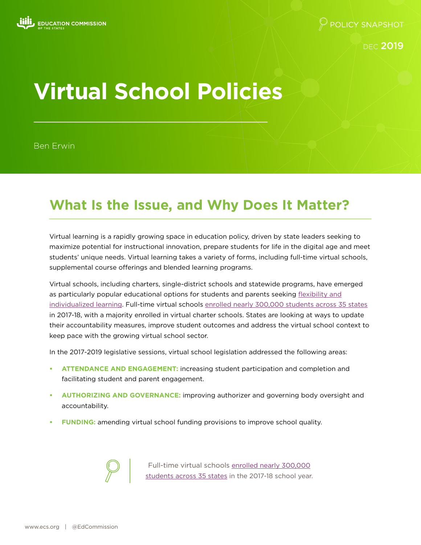DEC 2019

# **Virtual School Policies**

Ben Erwin

# **What Is the Issue, and Why Does It Matter?**

Virtual learning is a rapidly growing space in education policy, driven by state leaders seeking to maximize potential for instructional innovation, prepare students for life in the digital age and meet students' unique needs. Virtual learning takes a variety of forms, including full-time virtual schools, supplemental course offerings and blended learning programs.

Virtual schools, including charters, single-district schools and statewide programs, have emerged as particularly popular educational options for students and parents seeking [flexibility and](https://credo.stanford.edu/sites/g/files/sbiybj6481/f/online_charter_study_final.pdf) [individualized learning.](https://credo.stanford.edu/sites/g/files/sbiybj6481/f/online_charter_study_final.pdf) Full-time virtual schools [enrolled nearly 300,000 students](https://nepc.colorado.edu/sites/default/files/publications/Virtual%20Schools%202019.pdf) across 35 states in 2017-18, with a majority enrolled in virtual charter schools. States are looking at ways to update their accountability measures, improve student outcomes and address the virtual school context to keep pace with the growing virtual school sector.

In the 2017-2019 legislative sessions, virtual school legislation addressed the following areas:

- **• ATTENDANCE AND ENGAGEMENT:** increasing student participation and completion and facilitating student and parent engagement.
- **• AUTHORIZING AND GOVERNANCE:** improving authorizer and governing body oversight and accountability.
- **• FUNDING:** amending virtual school funding provisions to improve school quality.



Full-time virtual schools [enrolled nearly 300,000](https://nepc.colorado.edu/sites/default/files/publications/Virtual%20Schools%202019.pdf) [students](https://nepc.colorado.edu/sites/default/files/publications/Virtual%20Schools%202019.pdf) across 35 states in the 2017-18 school year.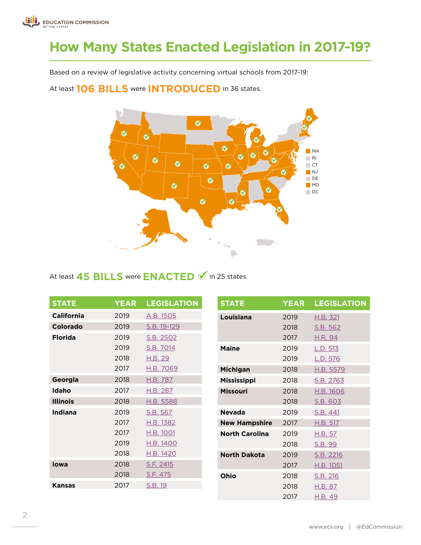# **How Many States Enacted Legislation in 2017-19?**

Based on a review of legislative activity concerning virtual schools from 2017-19:

At least **106 BILLS** were **INTRODUCED** in 36 states.



### At least **45 BILLS** were **ENACTED**  $\blacklozenge$  in 25 states.

| <b>STATE</b>      | <b>YEAR</b> | <b>LEGISLATION</b> |                       | <b>STATE</b>         | <b>YEAR</b> | <b>LEGISLATION</b> |
|-------------------|-------------|--------------------|-----------------------|----------------------|-------------|--------------------|
| <b>California</b> | 2019        | A.B. 1505          |                       | Louisiana            | 2019        | H.B. 321           |
| Colorado          | 2019        | S.B. 19-129        |                       |                      | 2018        | S.B. 562           |
| <b>Florida</b>    | 2019        | S.B. 2502          |                       |                      | 2017        | <u>H.R. 94</u>     |
|                   | 2019        | S.B. 7014          |                       | <b>Maine</b>         | 2019        | L.D. 513           |
|                   | 2018        | H.B. 29            |                       |                      | 2019        | L.D. 576           |
|                   | 2017        | H.B. 7069          |                       | Michigan             | 2018        | H.B. 5579          |
| Georgia           | 2018        | H.B. 787           |                       | <b>Mississippi</b>   | 2018        | S.B. 2763          |
| Idaho             | 2017        | H.B. 287           |                       | <b>Missouri</b>      | 2018        | H.B. 1606          |
| <b>Illinois</b>   | 2018        | H.B. 5588          |                       |                      | 2018        | S.B. 603           |
| Indiana           | 2019        | S.B. 567           |                       | <b>Nevada</b>        | 2019        | S.B. 441           |
|                   | 2017        | H.B. 1382          |                       | <b>New Hampshire</b> | 2017        | H.B. 517           |
|                   | 2017        | H.B. 1001          | <b>North Carolina</b> | 2019                 | H.B. 57     |                    |
|                   | 2019        | H.B. 1400          |                       | 2018                 | S.B. 99     |                    |
|                   | 2018        | H.B. 1420          |                       | <b>North Dakota</b>  | 2019        | S.B. 2216          |
| lowa              | 2018        | S.F. 2415          |                       |                      | 2017        | H.B. 1051          |
|                   | 2018        | S.F. 475           |                       | Ohio                 | 2018        | S.B. 216           |
| <b>Kansas</b>     | 2017        | S.B. 19            |                       |                      | 2018        | H.B. 87            |
|                   |             |                    |                       |                      | 2017        | <u>H.B. 49</u>     |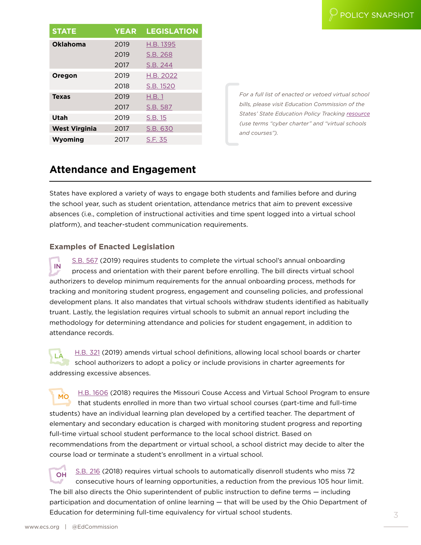| <b>STATE</b>         | <b>YEAR</b> | <b>LEGISLATION</b> |
|----------------------|-------------|--------------------|
| <b>Oklahoma</b>      | 2019        | H.B. 1395          |
|                      | 2019        | S.B. 268           |
|                      | 2017        | S.B. 244           |
| Oregon               | 2019        | H.B. 2022          |
|                      | 2018        | S.B. 1520          |
| <b>Texas</b>         | 2019        | H.B.1              |
|                      | 2017        | S.B. 587           |
| Utah                 | 2019        | S.B. 15            |
| <b>West Virginia</b> | 2017        | S.B. 630           |
| Wyoming              | 2017        | S.F. 35            |

*For a full list of enacted or vetoed virtual school bills, please visit Education Commission of the States' State Education Policy Tracking [resource](https://www.ecs.org/state-education-policy-tracking/) (use terms "cyber charter" and "virtual schools and courses").*

# **Attendance and Engagement**

States have explored a variety of ways to engage both students and families before and during the school year, such as student orientation, attendance metrics that aim to prevent excessive absences (i.e., completion of instructional activities and time spent logged into a virtual school platform), and teacher-student communication requirements.

#### **Examples of Enacted Legislation**

IN [S.B. 567](http://iga.in.gov/legislative/2019/bills/senate/567) (2019) requires students to complete the virtual school's annual onboarding process and orientation with their parent before enrolling. The bill directs virtual school authorizers to develop minimum requirements for the annual onboarding process, methods for tracking and monitoring student progress, engagement and counseling policies, and professional development plans. It also mandates that virtual schools withdraw students identified as habitually truant. Lastly, the legislation requires virtual schools to submit an annual report including the methodology for determining attendance and policies for student engagement, in addition to attendance records.

[H.B. 321](http://www.legis.la.gov/Legis/BillInfo.aspx?i=236097) (2019) amends virtual school definitions, allowing local school boards or charter school authorizers to adopt a policy or include provisions in charter agreements for addressing excessive absences.

[H.B. 1606](https://www.house.mo.gov/Bill.aspx?bill=HB1606&year=2018&code=R) (2018) requires the Missouri Couse Access and Virtual School Program to ensure that students enrolled in more than two virtual school courses (part-time and full-time students) have an individual learning plan developed by a certified teacher. The department of elementary and secondary education is charged with monitoring student progress and reporting full-time virtual school student performance to the local school district. Based on recommendations from the department or virtual school, a school district may decide to alter the course load or terminate a student's enrollment in a virtual school.

[S.B. 216](https://www.legislature.ohio.gov/legislation/legislation-summary?id=GA132-SB-216) (2018) requires virtual schools to automatically disenroll students who miss 72 consecutive hours of learning opportunities, a reduction from the previous 105 hour limit. The bill also directs the Ohio superintendent of public instruction to define terms — including participation and documentation of online learning — that will be used by the Ohio Department of Education for determining full-time equivalency for virtual school students.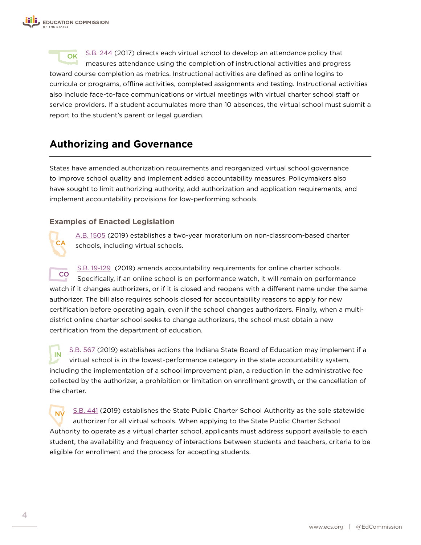OK [S.B. 244](http://www.oklegislature.gov/BillInfo.aspx?Bill=SB%20244&session=1800) (2017) directs each virtual school to develop an attendance policy that measures attendance using the completion of instructional activities and progress toward course completion as metrics. Instructional activities are defined as online logins to curricula or programs, offline activities, completed assignments and testing. Instructional activities also include face-to-face communications or virtual meetings with virtual charter school staff or service providers. If a student accumulates more than 10 absences, the virtual school must submit a report to the student's parent or legal guardian.

# **Authorizing and Governance**

States have amended authorization requirements and reorganized virtual school governance to improve school quality and implement added accountability measures. Policymakers also have sought to limit authorizing authority, add authorization and application requirements, and implement accountability provisions for low-performing schools.

#### **Examples of Enacted Legislation**

**CA** 

[A.B. 1505](https://leginfo.legislature.ca.gov/faces/billTextClient.xhtml?bill_id=201920200AB1505) (2019) establishes a two-year moratorium on non-classroom-based charter schools, including virtual schools.

CO [S.B. 19-129](https://leg.colorado.gov/bills/sb19-129) (2019) amends accountability requirements for online charter schools. Specifically, if an online school is on performance watch, it will remain on performance watch if it changes authorizers, or if it is closed and reopens with a different name under the same authorizer. The bill also requires schools closed for accountability reasons to apply for new certification before operating again, even if the school changes authorizers. Finally, when a multidistrict online charter school seeks to change authorizers, the school must obtain a new certification from the department of education.

IN [S.B. 567](http://iga.in.gov/legislative/2019/bills/senate/567) (2019) establishes actions the Indiana State Board of Education may implement if a virtual school is in the lowest-performance category in the state accountability system, including the implementation of a school improvement plan, a reduction in the administrative fee collected by the authorizer, a prohibition or limitation on enrollment growth, or the cancellation of the charter.

NV [S.B. 441](https://www.leg.state.nv.us/App/NELIS/REL/80th2019/Bill/6828/Overview) (2019) establishes the State Public Charter School Authority as the sole statewide authorizer for all virtual schools. When applying to the State Public Charter School Authority to operate as a virtual charter school, applicants must address support available to each student, the availability and frequency of interactions between students and teachers, criteria to be eligible for enrollment and the process for accepting students.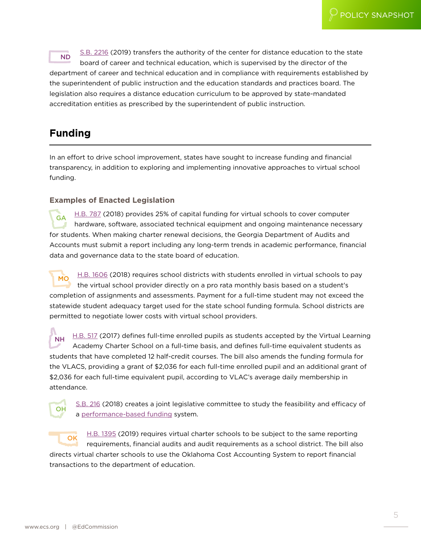[S.B. 2216](https://www.legis.nd.gov/assembly/66-2019/bill-actions/ba2216.html) (2019) transfers the authority of the center for distance education to the state board of career and technical education, which is supervised by the director of the department of career and technical education and in compliance with requirements established by the superintendent of public instruction and the education standards and practices board. The legislation also requires a distance education curriculum to be approved by state-mandated accreditation entities as prescribed by the superintendent of public instruction.

# **Funding**

In an effort to drive school improvement, states have sought to increase funding and financial transparency, in addition to exploring and implementing innovative approaches to virtual school funding.

#### **Examples of Enacted Legislation**

GA [H.B. 787](http://www.legis.ga.gov/legislation/en-US/display/20172018/HB/787) (2018) provides 25% of capital funding for virtual schools to cover computer hardware, software, associated technical equipment and ongoing maintenance necessary for students. When making charter renewal decisions, the Georgia Department of Audits and Accounts must submit a report including any long-term trends in academic performance, financial data and governance data to the state board of education.

MO [H.B. 1606](https://www.house.mo.gov/Bill.aspx?bill=HB1606&year=2018&code=R) (2018) requires school districts with students enrolled in virtual schools to pay the virtual school provider directly on a pro rata monthly basis based on a student's completion of assignments and assessments. Payment for a full-time student may not exceed the statewide student adequacy target used for the state school funding formula. School districts are permitted to negotiate lower costs with virtual school providers.

NH [H.B. 517](http://www.gencourt.state.nh.us/bill_status/bill_status.aspx?lsr=0676&sy=2017&sortoption=billnumber&txtsessionyear=2017&txtlsrnumber=0676) (2017) defines full-time enrolled pupils as students accepted by the Virtual Learning Academy Charter School on a full-time basis, and defines full-time equivalent students as students that have completed 12 half-credit courses. The bill also amends the funding formula for the VLACS, providing a grant of \$2,036 for each full-time enrolled pupil and an additional grant of \$2,036 for each full-time equivalent pupil, according to VLAC's average daily membership in attendance.



[S.B. 216](https://www.legislature.ohio.gov/legislation/legislation-summary?id=GA132-SB-216) (2018) creates a joint legislative committee to study the feasibility and efficacy of a [performance-based funding](https://www.ecs.org/state-information-request-performance-based-funding-for-online-schools/) system.

 $\overline{OK}$  [H.B. 1395](http://www.oklegislature.gov/BillInfo.aspx?Bill=HB%201395&session=1900) (2019) requires virtual charter schools to be subject to the same reporting requirements, financial audits and audit requirements as a school district. The bill also directs virtual charter schools to use the Oklahoma Cost Accounting System to report financial transactions to the department of education.